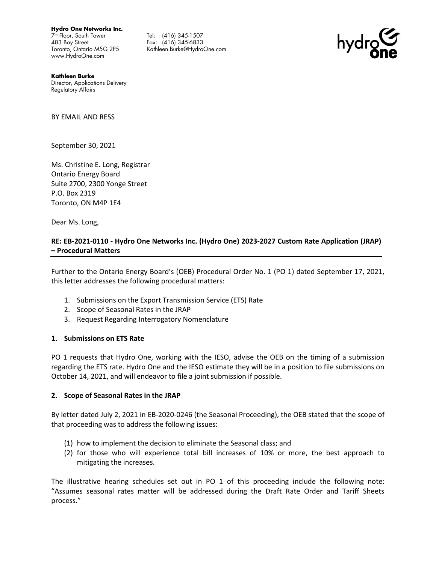**Hydro One Networks Inc.**

7 th Floor, South Tower 483 Bay Street Toronto, Ontario M5G 2P5 www.HydroOne.com

Tel: (416) 345-1507 Fax: (416) 345-6833 Kathleen.Burke@HydroOne.com



**Kathleen Burke** Director, Applications Delivery Regulatory Affairs

BY EMAIL AND RESS

September 30, 2021

Ms. Christine E. Long, Registrar Ontario Energy Board Suite 2700, 2300 Yonge Street P.O. Box 2319 Toronto, ON M4P 1E4

Dear Ms. Long,

## **RE: EB-2021-0110 - Hydro One Networks Inc. (Hydro One) 2023-2027 Custom Rate Application (JRAP) – Procedural Matters**

Further to the Ontario Energy Board's (OEB) Procedural Order No. 1 (PO 1) dated September 17, 2021, this letter addresses the following procedural matters:

- 1. Submissions on the Export Transmission Service (ETS) Rate
- 2. Scope of Seasonal Rates in the JRAP
- 3. Request Regarding Interrogatory Nomenclature

## **1. Submissions on ETS Rate**

PO 1 requests that Hydro One, working with the IESO, advise the OEB on the timing of a submission regarding the ETS rate. Hydro One and the IESO estimate they will be in a position to file submissions on October 14, 2021, and will endeavor to file a joint submission if possible.

## **2. Scope of Seasonal Rates in the JRAP**

By letter dated July 2, 2021 in EB-2020-0246 (the Seasonal Proceeding), the OEB stated that the scope of that proceeding was to address the following issues:

- (1) how to implement the decision to eliminate the Seasonal class; and
- (2) for those who will experience total bill increases of 10% or more, the best approach to mitigating the increases.

The illustrative hearing schedules set out in PO 1 of this proceeding include the following note: "Assumes seasonal rates matter will be addressed during the Draft Rate Order and Tariff Sheets process."